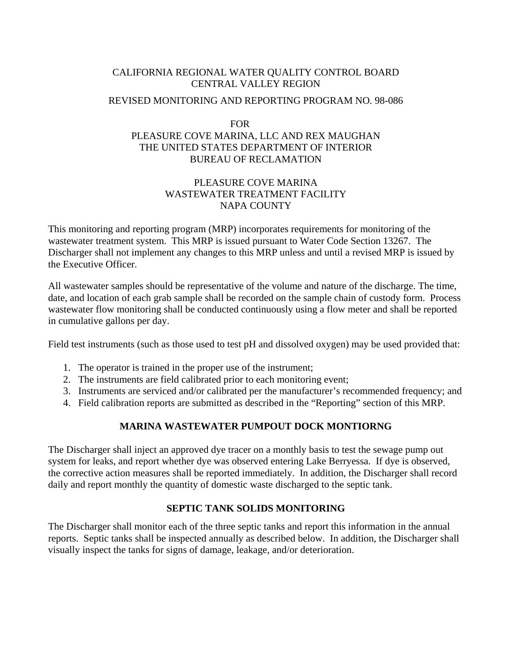## CALIFORNIA REGIONAL WATER QUALITY CONTROL BOARD CENTRAL VALLEY REGION

### REVISED MONITORING AND REPORTING PROGRAM NO. 98-086

## FOR PLEASURE COVE MARINA, LLC AND REX MAUGHAN THE UNITED STATES DEPARTMENT OF INTERIOR BUREAU OF RECLAMATION

## PLEASURE COVE MARINA WASTEWATER TREATMENT FACILITY NAPA COUNTY

This monitoring and reporting program (MRP) incorporates requirements for monitoring of the wastewater treatment system. This MRP is issued pursuant to Water Code Section 13267. The Discharger shall not implement any changes to this MRP unless and until a revised MRP is issued by the Executive Officer.

All wastewater samples should be representative of the volume and nature of the discharge. The time, date, and location of each grab sample shall be recorded on the sample chain of custody form. Process wastewater flow monitoring shall be conducted continuously using a flow meter and shall be reported in cumulative gallons per day.

Field test instruments (such as those used to test pH and dissolved oxygen) may be used provided that:

- 1. The operator is trained in the proper use of the instrument;
- 2. The instruments are field calibrated prior to each monitoring event;
- 3. Instruments are serviced and/or calibrated per the manufacturer's recommended frequency; and
- 4. Field calibration reports are submitted as described in the "Reporting" section of this MRP.

# **MARINA WASTEWATER PUMPOUT DOCK MONTIORNG**

The Discharger shall inject an approved dye tracer on a monthly basis to test the sewage pump out system for leaks, and report whether dye was observed entering Lake Berryessa. If dye is observed, the corrective action measures shall be reported immediately. In addition, the Discharger shall record daily and report monthly the quantity of domestic waste discharged to the septic tank.

# **SEPTIC TANK SOLIDS MONITORING**

The Discharger shall monitor each of the three septic tanks and report this information in the annual reports. Septic tanks shall be inspected annually as described below. In addition, the Discharger shall visually inspect the tanks for signs of damage, leakage, and/or deterioration.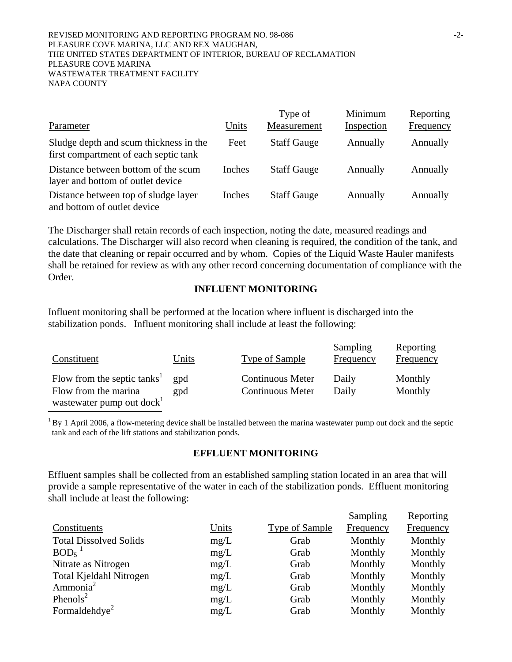|                                                                                 |        | Type of            | Minimum    | Reporting        |
|---------------------------------------------------------------------------------|--------|--------------------|------------|------------------|
| Parameter                                                                       | Units  | Measurement        | Inspection | <b>Frequency</b> |
| Sludge depth and scum thickness in the<br>first compartment of each septic tank | Feet   | <b>Staff Gauge</b> | Annually   | Annually         |
| Distance between bottom of the scum<br>layer and bottom of outlet device        | Inches | <b>Staff Gauge</b> | Annually   | Annually         |
| Distance between top of sludge layer<br>and bottom of outlet device             | Inches | <b>Staff Gauge</b> | Annually   | Annually         |

The Discharger shall retain records of each inspection, noting the date, measured readings and calculations. The Discharger will also record when cleaning is required, the condition of the tank, and the date that cleaning or repair occurred and by whom. Copies of the Liquid Waste Hauler manifests shall be retained for review as with any other record concerning documentation of compliance with the Order.

### **INFLUENT MONITORING**

Influent monitoring shall be performed at the location where influent is discharged into the stabilization ponds. Influent monitoring shall include at least the following:

j

| Constituent                                                                                              | Units      | <b>Type of Sample</b>                              | Sampling<br>Frequency | Reporting<br>Frequency |
|----------------------------------------------------------------------------------------------------------|------------|----------------------------------------------------|-----------------------|------------------------|
| Flow from the septic tanks <sup>1</sup><br>Flow from the marina<br>wastewater pump out dock <sup>1</sup> | gpd<br>gpd | <b>Continuous Meter</b><br><b>Continuous Meter</b> | Daily<br>Daily        | Monthly<br>Monthly     |

 $1$  By 1 April 2006, a flow-metering device shall be installed between the marina wastewater pump out dock and the septic tank and each of the lift stations and stabilization ponds.

## **EFFLUENT MONITORING**

Effluent samples shall be collected from an established sampling station located in an area that will provide a sample representative of the water in each of the stabilization ponds. Effluent monitoring shall include at least the following:

|       |                       | Sampling  | Reporting        |
|-------|-----------------------|-----------|------------------|
| Units | <b>Type of Sample</b> | Frequency | <b>Frequency</b> |
| mg/L  | Grab                  | Monthly   | Monthly          |
| mg/L  | Grab                  | Monthly   | Monthly          |
| mg/L  | Grab                  | Monthly   | Monthly          |
| mg/L  | Grab                  | Monthly   | Monthly          |
| mg/L  | Grab                  | Monthly   | Monthly          |
| mg/L  | Grab                  | Monthly   | Monthly          |
| mg/L  | Grab                  | Monthly   | Monthly          |
|       |                       |           |                  |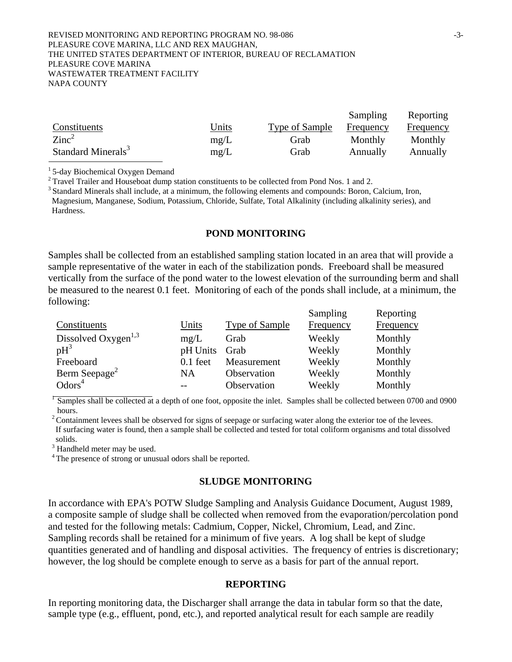#### REVISED MONITORING AND REPORTING PROGRAM NO. 98-086 PLEASURE COVE MARINA, LLC AND REX MAUGHAN, THE UNITED STATES DEPARTMENT OF INTERIOR, BUREAU OF RECLAMATION PLEASURE COVE MARINA WASTEWATER TREATMENT FACILITY NAPA COUNTY

|                                |              |                | Sampling  | Reporting |
|--------------------------------|--------------|----------------|-----------|-----------|
| Constituents                   | <u>Units</u> | Type of Sample | Frequency | Frequency |
| $\rm Zinc^2$                   | mg/L         | Grab           | Monthly   | Monthly   |
| Standard Minerals <sup>3</sup> | mg/L         | Grab           | Annually  | Annually  |

<sup>1</sup> 5-day Biochemical Oxygen Demand<br><sup>2</sup> Travel Trailer and Houseboat dump station constituents to be collected from Pond Nos. 1 and 2.

<sup>3</sup> Standard Minerals shall include, at a minimum, the following elements and compounds: Boron, Calcium, Iron, Magnesium, Manganese, Sodium, Potassium, Chloride, Sulfate, Total Alkalinity (including alkalinity series), and **Hardness** 

#### **POND MONITORING**

Samples shall be collected from an established sampling station located in an area that will provide a sample representative of the water in each of the stabilization ponds. Freeboard shall be measured vertically from the surface of the pond water to the lowest elevation of the surrounding berm and shall be measured to the nearest 0.1 feet. Monitoring of each of the ponds shall include, at a minimum, the following:  $S_{\text{compling}}$ Reporting

|                                 |            |                | Sampling  | Reporting |
|---------------------------------|------------|----------------|-----------|-----------|
| Constituents                    | Units      | Type of Sample | Frequency | Frequency |
| Dissolved Oxygen <sup>1,3</sup> | mg/L       | Grab           | Weekly    | Monthly   |
| $pH^3$                          | pH Units   | Grab           | Weekly    | Monthly   |
| Freeboard                       | $0.1$ feet | Measurement    | Weekly    | Monthly   |
| Berm Seepage <sup>2</sup>       | <b>NA</b>  | Observation    | Weekly    | Monthly   |
| Odors <sup>4</sup>              | $- -$      | Observation    | Weekly    | Monthly   |

 $\sqrt{2}$  Samples shall be collected at a depth of one foot, opposite the inlet. Samples shall be collected between 0700 and 0900 hours.

 $2$  Containment levees shall be observed for signs of seepage or surfacing water along the exterior toe of the levees. If surfacing water is found, then a sample shall be collected and tested for total coliform organisms and total dissolved solids.

 $3$  Handheld meter may be used.

<sup>4</sup> The presence of strong or unusual odors shall be reported.

#### **SLUDGE MONITORING**

In accordance with EPA's POTW Sludge Sampling and Analysis Guidance Document, August 1989, a composite sample of sludge shall be collected when removed from the evaporation/percolation pond and tested for the following metals: Cadmium, Copper, Nickel, Chromium, Lead, and Zinc. Sampling records shall be retained for a minimum of five years. A log shall be kept of sludge quantities generated and of handling and disposal activities. The frequency of entries is discretionary; however, the log should be complete enough to serve as a basis for part of the annual report.

### **REPORTING**

In reporting monitoring data, the Discharger shall arrange the data in tabular form so that the date, sample type (e.g., effluent, pond, etc.), and reported analytical result for each sample are readily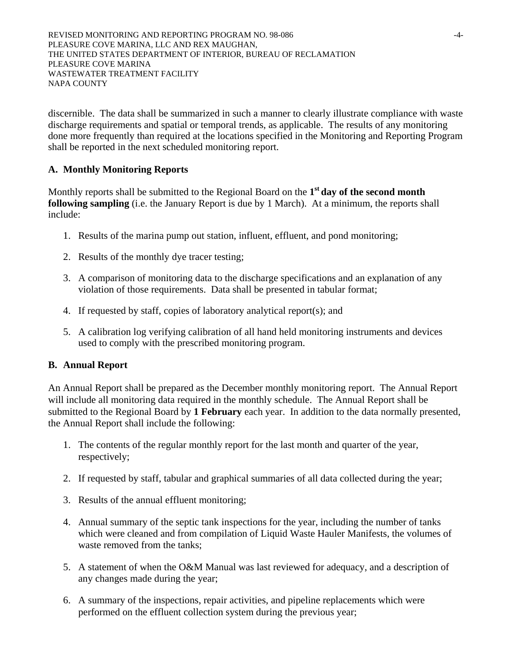REVISED MONITORING AND REPORTING PROGRAM NO. 98-086 PLEASURE COVE MARINA, LLC AND REX MAUGHAN, THE UNITED STATES DEPARTMENT OF INTERIOR, BUREAU OF RECLAMATION PLEASURE COVE MARINA WASTEWATER TREATMENT FACILITY NAPA COUNTY

discernible. The data shall be summarized in such a manner to clearly illustrate compliance with waste discharge requirements and spatial or temporal trends, as applicable. The results of any monitoring done more frequently than required at the locations specified in the Monitoring and Reporting Program shall be reported in the next scheduled monitoring report.

# **A. Monthly Monitoring Reports**

Monthly reports shall be submitted to the Regional Board on the **1st day of the second month following sampling** (i.e. the January Report is due by 1 March). At a minimum, the reports shall include:

- 1. Results of the marina pump out station, influent, effluent, and pond monitoring;
- 2. Results of the monthly dye tracer testing;
- 3. A comparison of monitoring data to the discharge specifications and an explanation of any violation of those requirements. Data shall be presented in tabular format;
- 4. If requested by staff, copies of laboratory analytical report(s); and
- 5. A calibration log verifying calibration of all hand held monitoring instruments and devices used to comply with the prescribed monitoring program.

## **B. Annual Report**

An Annual Report shall be prepared as the December monthly monitoring report. The Annual Report will include all monitoring data required in the monthly schedule. The Annual Report shall be submitted to the Regional Board by **1 February** each year. In addition to the data normally presented, the Annual Report shall include the following:

- 1. The contents of the regular monthly report for the last month and quarter of the year, respectively;
- 2. If requested by staff, tabular and graphical summaries of all data collected during the year;
- 3. Results of the annual effluent monitoring;
- 4. Annual summary of the septic tank inspections for the year, including the number of tanks which were cleaned and from compilation of Liquid Waste Hauler Manifests, the volumes of waste removed from the tanks;
- 5. A statement of when the O&M Manual was last reviewed for adequacy, and a description of any changes made during the year;
- 6. A summary of the inspections, repair activities, and pipeline replacements which were performed on the effluent collection system during the previous year;